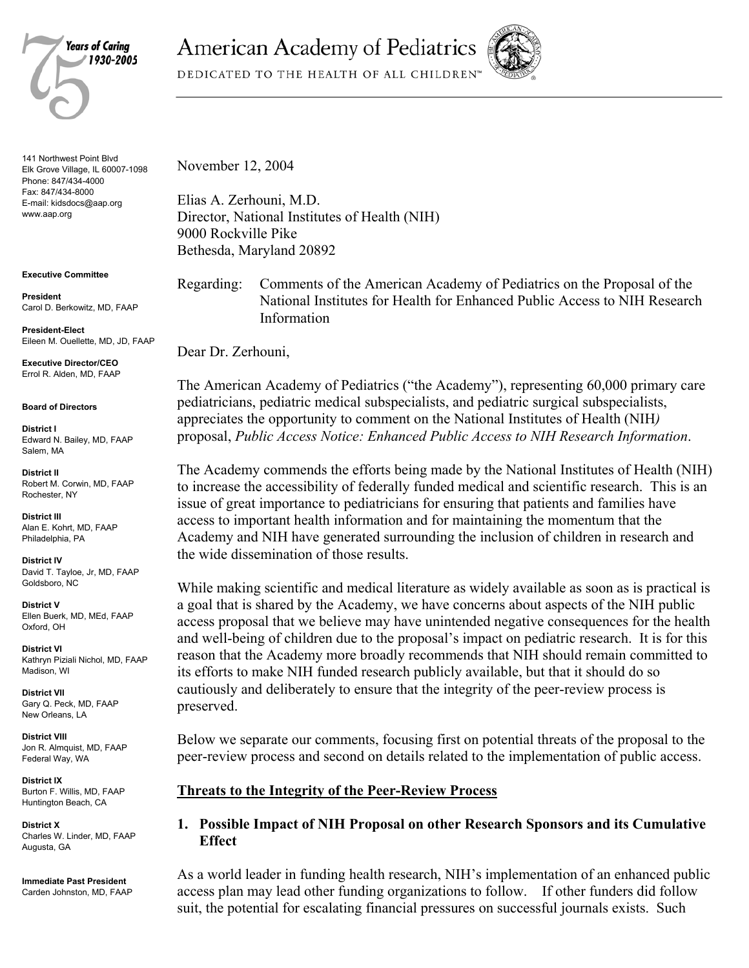

141 Northwest Point Blvd Elk Grove Village, IL 60007-1098 Phone: 847/434-4000 Fax: 847/434-8000 E-mail: kidsdocs@aap.org www.aap.org

**Executive Committee** 

**President**  Carol D. Berkowitz, MD, FAAP

**President-Elect**  Eileen M. Ouellette, MD, JD, FAAP

**Executive Director/CEO**  Errol R. Alden, MD, FAAP

**Board of Directors** 

**District I**  Edward N. Bailey, MD, FAAP Salem, MA

**District II**  Robert M. Corwin, MD, FAAP Rochester, NY

**District III**  Alan E. Kohrt, MD, FAAP Philadelphia, PA

**District IV**  David T. Tayloe, Jr, MD, FAAP Goldsboro, NC

**District V**  Ellen Buerk, MD, MEd, FAAP Oxford, OH

**District VI**  Kathryn Piziali Nichol, MD, FAAP Madison, WI

**District VII**  Gary Q. Peck, MD, FAAP New Orleans, LA

**District VIII**  Jon R. Almquist, MD, FAAP Federal Way, WA

**District IX**  Burton F. Willis, MD, FAAP Huntington Beach, CA

**District X**  Charles W. Linder, MD, FAAP Augusta, GA

**Immediate Past President**  Carden Johnston, MD, FAAP **American Academy of Pediatrics** 

DEDICATED TO THE HEALTH OF ALL CHILDREN<sup>®</sup>



November 12, 2004

Elias A. Zerhouni, M.D. Director, National Institutes of Health (NIH) 9000 Rockville Pike Bethesda, Maryland 20892

Regarding: Comments of the American Academy of Pediatrics on the Proposal of the National Institutes for Health for Enhanced Public Access to NIH Research Information

Dear Dr. Zerhouni,

The American Academy of Pediatrics ("the Academy"), representing 60,000 primary care pediatricians, pediatric medical subspecialists, and pediatric surgical subspecialists, appreciates the opportunity to comment on the National Institutes of Health (NIH*)* proposal, *Public Access Notice: Enhanced Public Access to NIH Research Information*.

The Academy commends the efforts being made by the National Institutes of Health (NIH) to increase the accessibility of federally funded medical and scientific research. This is an issue of great importance to pediatricians for ensuring that patients and families have access to important health information and for maintaining the momentum that the Academy and NIH have generated surrounding the inclusion of children in research and the wide dissemination of those results.

While making scientific and medical literature as widely available as soon as is practical is a goal that is shared by the Academy, we have concerns about aspects of the NIH public access proposal that we believe may have unintended negative consequences for the health and well-being of children due to the proposal's impact on pediatric research. It is for this reason that the Academy more broadly recommends that NIH should remain committed to its efforts to make NIH funded research publicly available, but that it should do so cautiously and deliberately to ensure that the integrity of the peer-review process is preserved.

Below we separate our comments, focusing first on potential threats of the proposal to the peer-review process and second on details related to the implementation of public access.

## **Threats to the Integrity of the Peer-Review Process**

## **1. Possible Impact of NIH Proposal on other Research Sponsors and its Cumulative Effect**

As a world leader in funding health research, NIH's implementation of an enhanced public access plan may lead other funding organizations to follow. If other funders did follow suit, the potential for escalating financial pressures on successful journals exists. Such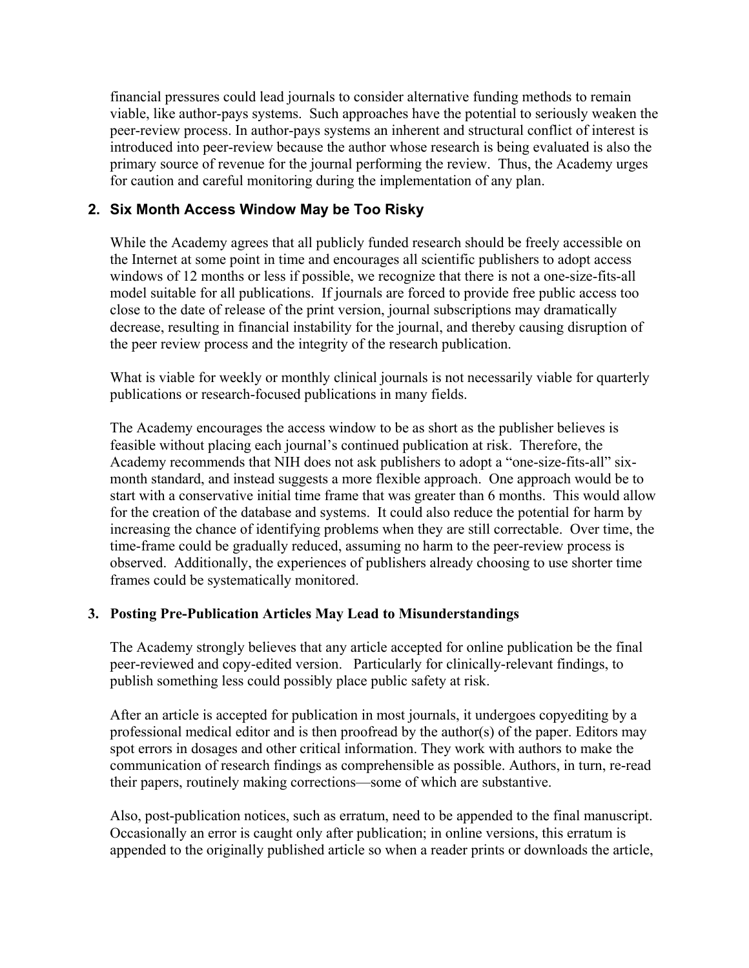financial pressures could lead journals to consider alternative funding methods to remain viable, like author-pays systems. Such approaches have the potential to seriously weaken the peer-review process. In author-pays systems an inherent and structural conflict of interest is introduced into peer-review because the author whose research is being evaluated is also the primary source of revenue for the journal performing the review. Thus, the Academy urges for caution and careful monitoring during the implementation of any plan.

# **2. Six Month Access Window May be Too Risky**

While the Academy agrees that all publicly funded research should be freely accessible on the Internet at some point in time and encourages all scientific publishers to adopt access windows of 12 months or less if possible, we recognize that there is not a one-size-fits-all model suitable for all publications. If journals are forced to provide free public access too close to the date of release of the print version, journal subscriptions may dramatically decrease, resulting in financial instability for the journal, and thereby causing disruption of the peer review process and the integrity of the research publication.

What is viable for weekly or monthly clinical journals is not necessarily viable for quarterly publications or research-focused publications in many fields.

The Academy encourages the access window to be as short as the publisher believes is feasible without placing each journal's continued publication at risk. Therefore, the Academy recommends that NIH does not ask publishers to adopt a "one-size-fits-all" sixmonth standard, and instead suggests a more flexible approach. One approach would be to start with a conservative initial time frame that was greater than 6 months. This would allow for the creation of the database and systems. It could also reduce the potential for harm by increasing the chance of identifying problems when they are still correctable. Over time, the time-frame could be gradually reduced, assuming no harm to the peer-review process is observed. Additionally, the experiences of publishers already choosing to use shorter time frames could be systematically monitored.

## **3. Posting Pre-Publication Articles May Lead to Misunderstandings**

The Academy strongly believes that any article accepted for online publication be the final peer-reviewed and copy-edited version. Particularly for clinically-relevant findings, to publish something less could possibly place public safety at risk.

After an article is accepted for publication in most journals, it undergoes copyediting by a professional medical editor and is then proofread by the author(s) of the paper. Editors may spot errors in dosages and other critical information. They work with authors to make the communication of research findings as comprehensible as possible. Authors, in turn, re-read their papers, routinely making corrections—some of which are substantive.

Also, post-publication notices, such as erratum, need to be appended to the final manuscript. Occasionally an error is caught only after publication; in online versions, this erratum is appended to the originally published article so when a reader prints or downloads the article,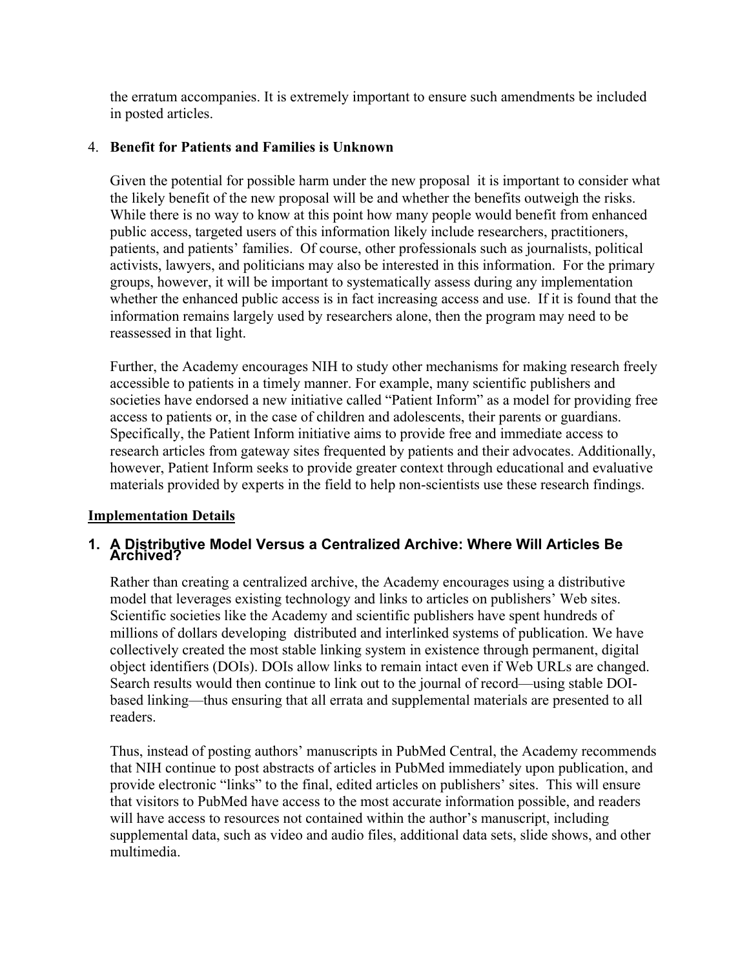the erratum accompanies. It is extremely important to ensure such amendments be included in posted articles.

## 4. **Benefit for Patients and Families is Unknown**

Given the potential for possible harm under the new proposal it is important to consider what the likely benefit of the new proposal will be and whether the benefits outweigh the risks. While there is no way to know at this point how many people would benefit from enhanced public access, targeted users of this information likely include researchers, practitioners, patients, and patients' families. Of course, other professionals such as journalists, political activists, lawyers, and politicians may also be interested in this information. For the primary groups, however, it will be important to systematically assess during any implementation whether the enhanced public access is in fact increasing access and use. If it is found that the information remains largely used by researchers alone, then the program may need to be reassessed in that light.

Further, the Academy encourages NIH to study other mechanisms for making research freely accessible to patients in a timely manner. For example, many scientific publishers and societies have endorsed a new initiative called "Patient Inform" as a model for providing free access to patients or, in the case of children and adolescents, their parents or guardians. Specifically, the Patient Inform initiative aims to provide free and immediate access to research articles from gateway sites frequented by patients and their advocates. Additionally, however, Patient Inform seeks to provide greater context through educational and evaluative materials provided by experts in the field to help non-scientists use these research findings.

## **Implementation Details**

## **1. A Distributive Model Versus a Centralized Archive: Where Will Articles Be Archived?**

Rather than creating a centralized archive, the Academy encourages using a distributive model that leverages existing technology and links to articles on publishers' Web sites. Scientific societies like the Academy and scientific publishers have spent hundreds of millions of dollars developing distributed and interlinked systems of publication. We have collectively created the most stable linking system in existence through permanent, digital object identifiers (DOIs). DOIs allow links to remain intact even if Web URLs are changed. Search results would then continue to link out to the journal of record—using stable DOIbased linking—thus ensuring that all errata and supplemental materials are presented to all readers.

Thus, instead of posting authors' manuscripts in PubMed Central, the Academy recommends that NIH continue to post abstracts of articles in PubMed immediately upon publication, and provide electronic "links" to the final, edited articles on publishers' sites. This will ensure that visitors to PubMed have access to the most accurate information possible, and readers will have access to resources not contained within the author's manuscript, including supplemental data, such as video and audio files, additional data sets, slide shows, and other multimedia.